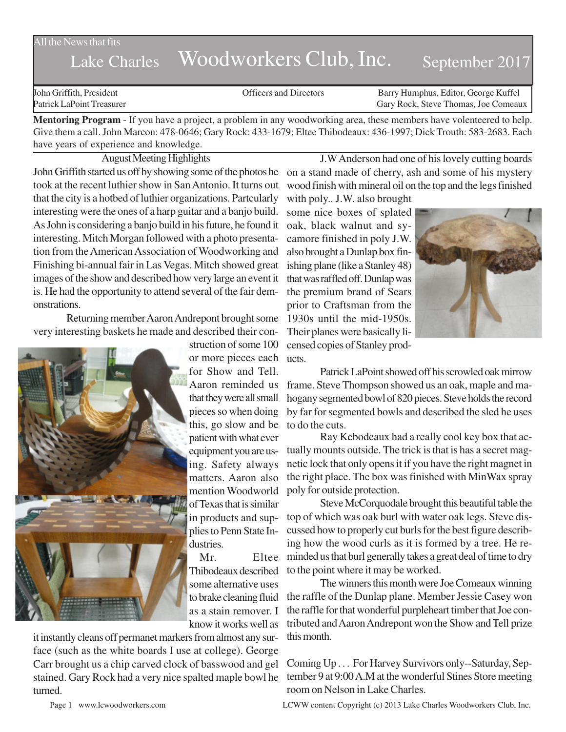All the News that fits

## Lake Charles Woodworkers Club, Inc. September 2017

John Griffith, President Officers and Directors Barry Humphus, Editor, George Kuffel Patrick LaPoint Treasurer Gary Rock, Steve Thomas, Joe Comeaux

**Mentoring Program** - If you have a project, a problem in any woodworking area, these members have volenteered to help. Give them a call. John Marcon: 478-0646; Gary Rock: 433-1679; Eltee Thibodeaux: 436-1997; Dick Trouth: 583-2683. Each have years of experience and knowledge.

August Meeting Highlights

John Griffith started us off by showing some of the photos he took at the recent luthier show in San Antonio. It turns out that the city is a hotbed of luthier organizations. Partcularly interesting were the ones of a harp guitar and a banjo build. As John is considering a banjo build in his future, he found it interesting. Mitch Morgan followed with a photo presentation from the American Association of Woodworking and Finishing bi-annual fair in Las Vegas. Mitch showed great images of the show and described how very large an event it is. He had the opportunity to attend several of the fair demonstrations.

Returning member Aaron Andrepont brought some very interesting baskets he made and described their con-



struction of some 100 or more pieces each for Show and Tell. Aaron reminded us that they were all small pieces so when doing this, go slow and be patient with what ever equipment you are using. Safety always matters. Aaron also mention Woodworld of Texas that is similar in products and supplies to Penn State Industries.

Mr. Eltee Thibodeaux described some alternative uses to brake cleaning fluid as a stain remover. I know it works well as

it instantly cleans off permanet markers from almost any surface (such as the white boards I use at college). George Carr brought us a chip carved clock of basswood and gel stained. Gary Rock had a very nice spalted maple bowl he turned.

J.WAnderson had one of his lovely cutting boards on a stand made of cherry, ash and some of his mystery wood finish with mineral oil on the top and the legs finished with poly.. J.W. also brought

some nice boxes of splated oak, black walnut and sycamore finished in poly J.W. also brought a Dunlap box finishing plane (like a Stanley 48) that was raffled off. Dunlap was the premium brand of Sears prior to Craftsman from the 1930s until the mid-1950s. Their planes were basically licensed copies of Stanley products.



Patrick LaPoint showed off his scrowled oak mirrow frame. Steve Thompson showed us an oak, maple and mahogany segmented bowl of 820 pieces. Steve holds the record by far for segmented bowls and described the sled he uses to do the cuts.

Ray Kebodeaux had a really cool key box that actually mounts outside. The trick is that is has a secret magnetic lock that only opens it if you have the right magnet in the right place. The box was finished with MinWax spray poly for outside protection.

Steve McCorquodale brought this beautiful table the top of which was oak burl with water oak legs. Steve discussed how to properly cut burls for the best figure describing how the wood curls as it is formed by a tree. He reminded us that burl generally takes a great deal of time to dry to the point where it may be worked.

The winners this month were Joe Comeaux winning the raffle of the Dunlap plane. Member Jessie Casey won the raffle for that wonderful purpleheart timber that Joe contributed and Aaron Andrepont won the Show and Tell prize this month.

Coming Up . . . For Harvey Survivors only--Saturday, September 9 at 9:00 A.M at the wonderful Stines Store meeting room on Nelson in Lake Charles.

Page 1 www.lcwoodworkers.com LCWW content Copyright (c) 2013 Lake Charles Woodworkers Club, Inc.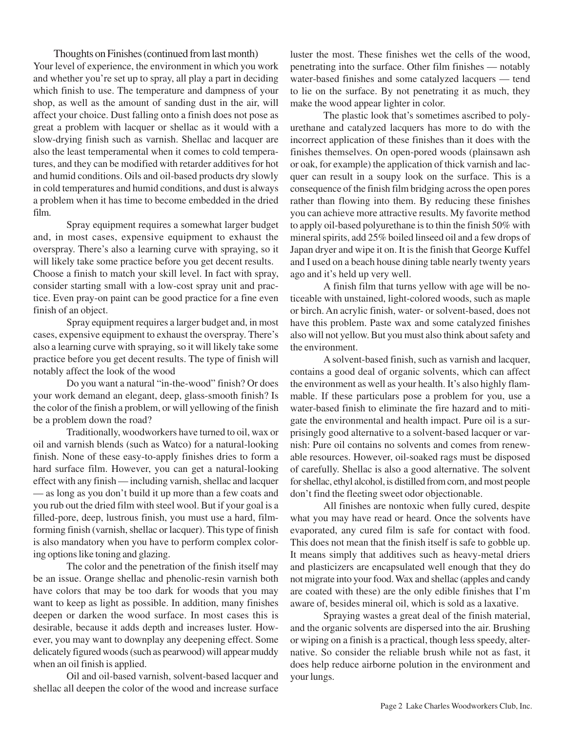Thoughts on Finishes (continued from last month) Your level of experience, the environment in which you work and whether you're set up to spray, all play a part in deciding which finish to use. The temperature and dampness of your shop, as well as the amount of sanding dust in the air, will affect your choice. Dust falling onto a finish does not pose as great a problem with lacquer or shellac as it would with a slow-drying finish such as varnish. Shellac and lacquer are also the least temperamental when it comes to cold temperatures, and they can be modified with retarder additives for hot and humid conditions. Oils and oil-based products dry slowly in cold temperatures and humid conditions, and dust is always a problem when it has time to become embedded in the dried film.

Spray equipment requires a somewhat larger budget and, in most cases, expensive equipment to exhaust the overspray. There's also a learning curve with spraying, so it will likely take some practice before you get decent results. Choose a finish to match your skill level. In fact with spray, consider starting small with a low-cost spray unit and practice. Even pray-on paint can be good practice for a fine even finish of an object.

Spray equipment requires a larger budget and, in most cases, expensive equipment to exhaust the overspray. There's also a learning curve with spraying, so it will likely take some practice before you get decent results. The type of finish will notably affect the look of the wood

Do you want a natural "in-the-wood" finish? Or does your work demand an elegant, deep, glass-smooth finish? Is the color of the finish a problem, or will yellowing of the finish be a problem down the road?

Traditionally, woodworkers have turned to oil, wax or oil and varnish blends (such as Watco) for a natural-looking finish. None of these easy-to-apply finishes dries to form a hard surface film. However, you can get a natural-looking effect with any finish — including varnish, shellac and lacquer — as long as you don't build it up more than a few coats and you rub out the dried film with steel wool. But if your goal is a filled-pore, deep, lustrous finish, you must use a hard, filmforming finish (varnish, shellac or lacquer). This type of finish is also mandatory when you have to perform complex coloring options like toning and glazing.

The color and the penetration of the finish itself may be an issue. Orange shellac and phenolic-resin varnish both have colors that may be too dark for woods that you may want to keep as light as possible. In addition, many finishes deepen or darken the wood surface. In most cases this is desirable, because it adds depth and increases luster. However, you may want to downplay any deepening effect. Some delicately figured woods (such as pearwood) will appear muddy when an oil finish is applied.

Oil and oil-based varnish, solvent-based lacquer and shellac all deepen the color of the wood and increase surface

luster the most. These finishes wet the cells of the wood, penetrating into the surface. Other film finishes — notably water-based finishes and some catalyzed lacquers — tend to lie on the surface. By not penetrating it as much, they make the wood appear lighter in color.

The plastic look that's sometimes ascribed to polyurethane and catalyzed lacquers has more to do with the incorrect application of these finishes than it does with the finishes themselves. On open-pored woods (plainsawn ash or oak, for example) the application of thick varnish and lacquer can result in a soupy look on the surface. This is a consequence of the finish film bridging across the open pores rather than flowing into them. By reducing these finishes you can achieve more attractive results. My favorite method to apply oil-based polyurethane is to thin the finish 50% with mineral spirits, add 25% boiled linseed oil and a few drops of Japan dryer and wipe it on. It is the finish that George Kuffel and I used on a beach house dining table nearly twenty years ago and it's held up very well.

A finish film that turns yellow with age will be noticeable with unstained, light-colored woods, such as maple or birch. An acrylic finish, water- or solvent-based, does not have this problem. Paste wax and some catalyzed finishes also will not yellow. But you must also think about safety and the environment.

A solvent-based finish, such as varnish and lacquer, contains a good deal of organic solvents, which can affect the environment as well as your health. It's also highly flammable. If these particulars pose a problem for you, use a water-based finish to eliminate the fire hazard and to mitigate the environmental and health impact. Pure oil is a surprisingly good alternative to a solvent-based lacquer or varnish: Pure oil contains no solvents and comes from renewable resources. However, oil-soaked rags must be disposed of carefully. Shellac is also a good alternative. The solvent for shellac, ethyl alcohol, is distilled from corn, and most people don't find the fleeting sweet odor objectionable.

All finishes are nontoxic when fully cured, despite what you may have read or heard. Once the solvents have evaporated, any cured film is safe for contact with food. This does not mean that the finish itself is safe to gobble up. It means simply that additives such as heavy-metal driers and plasticizers are encapsulated well enough that they do not migrate into your food. Wax and shellac (apples and candy are coated with these) are the only edible finishes that I'm aware of, besides mineral oil, which is sold as a laxative.

Spraying wastes a great deal of the finish material, and the organic solvents are dispersed into the air. Brushing or wiping on a finish is a practical, though less speedy, alternative. So consider the reliable brush while not as fast, it does help reduce airborne polution in the environment and your lungs.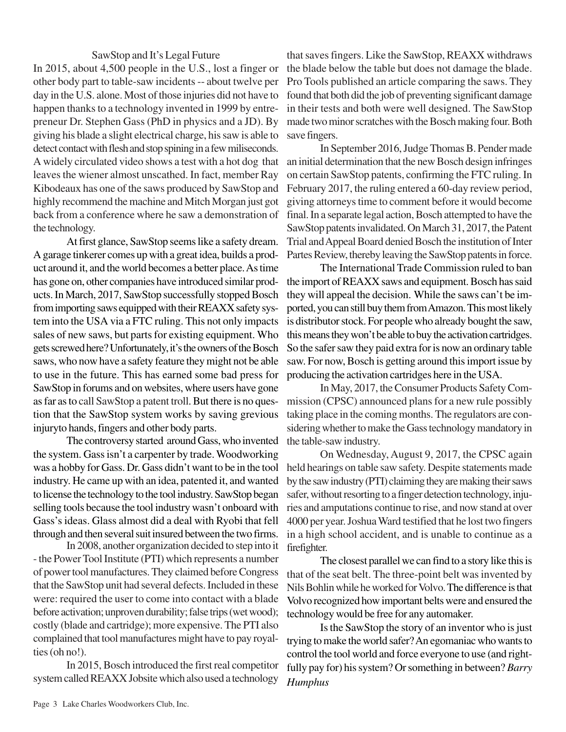## SawStop and It's Legal Future

In 2015, about 4,500 people in the U.S., lost a finger or other body part to table-saw incidents -- about twelve per day in the U.S. alone. Most of those injuries did not have to happen thanks to a technology invented in 1999 by entrepreneur Dr. Stephen Gass (PhD in physics and a JD). By giving his blade a slight electrical charge, his saw is able to detect contact with flesh and stop spining in a few miliseconds. A widely circulated video shows a test with a hot dog that leaves the wiener almost unscathed. In fact, member Ray Kibodeaux has one of the saws produced by SawStop and highly recommend the machine and Mitch Morgan just got back from a conference where he saw a demonstration of the technology.

At first glance, SawStop seems like a safety dream. A garage tinkerer comes up with a great idea, builds a product around it, and the world becomes a better place. As time has gone on, other companies have introduced similar products. In March, 2017, SawStop successfully stopped Bosch from importing saws equipped with their REAXX safety system into the USA via a FTC ruling. This not only impacts sales of new saws, but parts for existing equipment. Who gets screwed here? Unfortunately, it's the owners of the Bosch saws, who now have a safety feature they might not be able to use in the future. This has earned some bad press for SawStop in forums and on websites, where users have gone as far as to call SawStop a patent troll. But there is no question that the SawStop system works by saving grevious injuryto hands, fingers and other body parts.

The controversy started around Gass, who invented the system. Gass isn't a carpenter by trade. Woodworking was a hobby for Gass. Dr. Gass didn't want to be in the tool industry. He came up with an idea, patented it, and wanted to license the technology to the tool industry. SawStop began selling tools because the tool industry wasn't onboard with Gass's ideas. Glass almost did a deal with Ryobi that fell through and then several suit insured between the two firms.

In 2008, another organization decided to step into it - the Power Tool Institute (PTI) which represents a number of power tool manufactures. They claimed before Congress that the SawStop unit had several defects. Included in these were: required the user to come into contact with a blade before activation; unproven durability; false trips (wet wood); costly (blade and cartridge); more expensive. The PTI also complained that tool manufactures might have to pay royalties (oh no!).

In 2015, Bosch introduced the first real competitor system called REAXX Jobsite which also used a technology that saves fingers. Like the SawStop, REAXX withdraws the blade below the table but does not damage the blade. Pro Tools published an article comparing the saws. They found that both did the job of preventing significant damage in their tests and both were well designed. The SawStop made two minor scratches with the Bosch making four. Both save fingers.

In September 2016, Judge Thomas B. Pender made an initial determination that the new Bosch design infringes on certain SawStop patents, confirming the FTC ruling. In February 2017, the ruling entered a 60-day review period, giving attorneys time to comment before it would become final. In a separate legal action, Bosch attempted to have the SawStop patents invalidated. On March 31, 2017, the Patent Trial and Appeal Board denied Bosch the institution of Inter Partes Review, thereby leaving the SawStop patents in force.

The International Trade Commission ruled to ban the import of REAXX saws and equipment. Bosch has said they will appeal the decision. While the saws can't be imported, you can still buy them from Amazon. This most likely is distributor stock. For people who already bought the saw, this means they won't be able to buy the activation cartridges. So the safer saw they paid extra for is now an ordinary table saw. For now, Bosch is getting around this import issue by producing the activation cartridges here in the USA.

In May, 2017, the Consumer Products Safety Commission (CPSC) announced plans for a new rule possibly taking place in the coming months. The regulators are considering whether to make the Gass technology mandatory in the table-saw industry.

On Wednesday, August 9, 2017, the CPSC again held hearings on table saw safety. Despite statements made by the saw industry (PTI) claiming they are making their saws safer, without resorting to a finger detection technology, injuries and amputations continue to rise, and now stand at over 4000 per year. Joshua Ward testified that he lost two fingers in a high school accident, and is unable to continue as a firefighter.

The closest parallel we can find to a story like this is that of the seat belt. The three-point belt was invented by Nils Bohlin while he worked for Volvo.The difference is that Volvo recognized how important belts were and ensured the technology would be free for any automaker.

Is the SawStop the story of an inventor who is just trying to make the world safer? An egomaniac who wants to control the tool world and force everyone to use (and rightfully pay for) his system? Or something in between? *Barry Humphus*